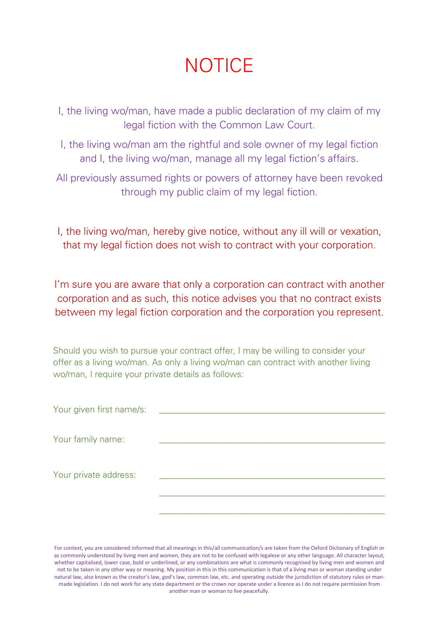## **NOTICE**

- I, the living wo/man, have made a public declaration of my claim of my legal fiction with the Common Law Court.
- I, the living wo/man am the rightful and sole owner of my legal fiction and I, the living wo/man, manage all my legal fiction's affairs.
- All previously assumed rights or powers of attorney have been revoked through my public claim of my legal fiction.
- I, the living wo/man, hereby give notice, without any ill will or vexation, that my legal fiction does not wish to contract with your corporation.

I'm sure you are aware that only a corporation can contract with another corporation and as such, this notice advises you that no contract exists between my legal fiction corporation and the corporation you represent.

Should you wish to pursue your contract offer, I may be willing to consider your offer as a living wo/man. As only a living wo/man can contract with another living wo/man, I require your private details as follows:

| Your given first name/s: |  |
|--------------------------|--|
|                          |  |
| Your family name:        |  |
|                          |  |
|                          |  |
| Your private address:    |  |
|                          |  |
|                          |  |
|                          |  |
|                          |  |

For context, you are considered informed that all meanings in this/all communication/s are taken from the Oxford Dictionary of English or as commonly understood by living men and women, they are not to be confused with legalese or any other language. All character layout, whether capitalised, lower case, bold or underlined, or any combinations are what is commonly recognised by living men and women and not to be taken in any other way or meaning. My position in this in this communication is that of a living man or woman standing under natural law, also known as the creator's law, god's law, common law, etc. and operating outside the jurisdiction of statutory rules or manmade legislation. I do not work for any state department or the crown nor operate under a licence as I do not require permission from another man or woman to live peacefully.